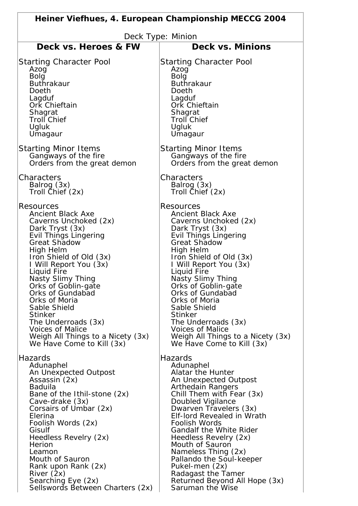| Heiner Viefhues, 4. European Championship MECCG 2004 |                                   |
|------------------------------------------------------|-----------------------------------|
| Deck Type: Minion                                    |                                   |
| Deck vs. Heroes & FW                                 | Deck vs. Minions                  |
| <b>Starting Character Pool</b>                       | <b>Starting Character Pool</b>    |
| Azog                                                 | Azog                              |
| Bolg                                                 | <b>Bolg</b>                       |
| <b>Buthrakaur</b>                                    | <b>Buthrakaur</b>                 |
| Doeth                                                | Doeth                             |
| Lagduf                                               | Lagduf                            |
| Ork Chieftain                                        | Ork Chieftain                     |
| Shagrat                                              | Shagrat                           |
| <b>Troll Chief</b>                                   | <b>Troll Chief</b>                |
| Ugluk                                                | Ugluk                             |
| Umagaur                                              | Umagaur                           |
| <b>Starting Minor Items</b>                          | <b>Starting Minor Items</b>       |
| Gangways of the fire                                 | Gangways of the fire              |
| Orders from the great demon                          | Orders from the great demon       |
| Characters                                           | Characters                        |
| Balrog (3x)                                          | Balrog (3x)                       |
| Troll Chief (2x)                                     | Troll Chief (2x)                  |
| <b>Resources</b>                                     | Resources                         |
| <b>Ancient Black Axe</b>                             | <b>Ancient Black Axe</b>          |
| Caverns Unchoked (2x)                                | Caverns Unchoked (2x)             |
| Dark Tryst (3x)                                      | Dark Tryst (3x)                   |
| <b>Evil Things Lingering</b>                         | <b>Evil Things Lingering</b>      |
| <b>Great Shadow</b>                                  | <b>Great Shadow</b>               |
| High Helm                                            | High Helm                         |
| Iron Shield of Old (3x)                              | Iron Shield of Old (3x)           |
| I Will Report You (3x)                               | I Will Report You (3x)            |
| Liquid Fire                                          | Liquid Fire                       |
| Nasty Slimy Thing                                    | Nasty Slimy Thing                 |
| Orks of Goblin-gate                                  | Orks of Goblin-gate               |
| <b>Orks of Gundabad</b>                              | Orks of Gundabad                  |
| Orks of Moria                                        | Orks of Moria                     |
| Sable Shield                                         | Sable Shield                      |
| <b>Stinker</b>                                       | <b>Stinker</b>                    |
| The Underroads (3x)                                  | The Underroads (3x)               |
| <b>Voices of Malice</b>                              | <b>Voices of Malice</b>           |
| Weigh All Things to a Nicety (3x)                    | Weigh All Things to a Nicety (3x) |
| We Have Come to Kill (3x)                            | We Have Come to Kill (3x)         |
| Hazards                                              | Hazards                           |
| Adunaphel                                            | Adunaphel                         |
| An Unexpected Outpost                                | Alatar the Hunter                 |
| Assassin (2x)                                        | An Unexpected Outpost             |
| <b>Baduila</b>                                       | Arthedain Rangers                 |
| Bane of the Ithil-stone (2x)                         | Chill Them with Fear (3x)         |
| Cave-drake (3x)                                      | Doubled Vigilance                 |
| Corsairs of Umbar (2x)                               | Dwarven Travelers (3x)            |
| Elerina                                              | <b>Elf-lord Revealed in Wrath</b> |
| Foolish Words (2x)                                   | Foolish Words                     |
| Gisulf                                               | <b>Gandalf the White Rider</b>    |
| Heedless Revelry (2x)                                | Heedless Revelry (2x)             |
| Herion                                               | Mouth of Sauron                   |
| Leamon                                               | Nameless Thing (2x)               |
| Mouth of Sauron                                      | Pallando the Soul-keeper          |
| Rank upon Rank (2x)                                  | Pukel-men (2x)                    |
| River $(2x)$                                         | Radagast the Tamer                |
| Searching Eye (2x)                                   | Returned Beyond All Hope (3x)     |
| Sellswords Between Charters (2x)                     | Saruman the Wise                  |